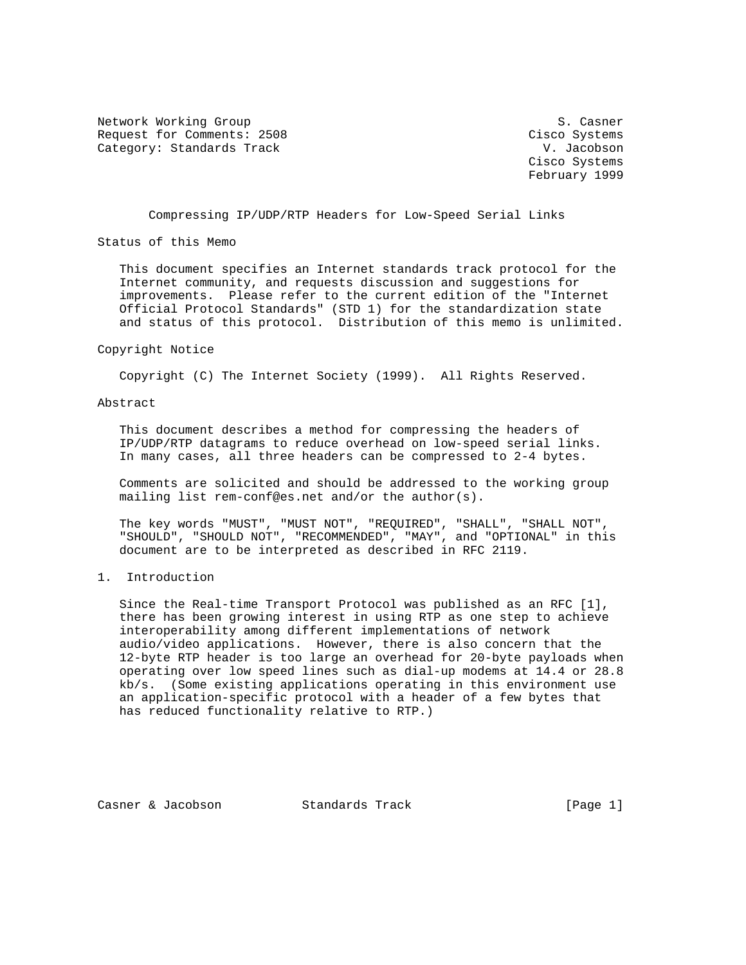Network Working Group S. Casner Request for Comments: 2508 Cisco Systems Category: Standards Track V. Jacobson

 Cisco Systems February 1999

Compressing IP/UDP/RTP Headers for Low-Speed Serial Links

Status of this Memo

 This document specifies an Internet standards track protocol for the Internet community, and requests discussion and suggestions for improvements. Please refer to the current edition of the "Internet Official Protocol Standards" (STD 1) for the standardization state and status of this protocol. Distribution of this memo is unlimited.

#### Copyright Notice

Copyright (C) The Internet Society (1999). All Rights Reserved.

#### Abstract

 This document describes a method for compressing the headers of IP/UDP/RTP datagrams to reduce overhead on low-speed serial links. In many cases, all three headers can be compressed to 2-4 bytes.

 Comments are solicited and should be addressed to the working group mailing list rem-conf@es.net and/or the author(s).

 The key words "MUST", "MUST NOT", "REQUIRED", "SHALL", "SHALL NOT", "SHOULD", "SHOULD NOT", "RECOMMENDED", "MAY", and "OPTIONAL" in this document are to be interpreted as described in RFC 2119.

# 1. Introduction

 Since the Real-time Transport Protocol was published as an RFC [1], there has been growing interest in using RTP as one step to achieve interoperability among different implementations of network audio/video applications. However, there is also concern that the 12-byte RTP header is too large an overhead for 20-byte payloads when operating over low speed lines such as dial-up modems at 14.4 or 28.8 kb/s. (Some existing applications operating in this environment use an application-specific protocol with a header of a few bytes that has reduced functionality relative to RTP.)

Casner & Jacobson Standards Track [Page 1]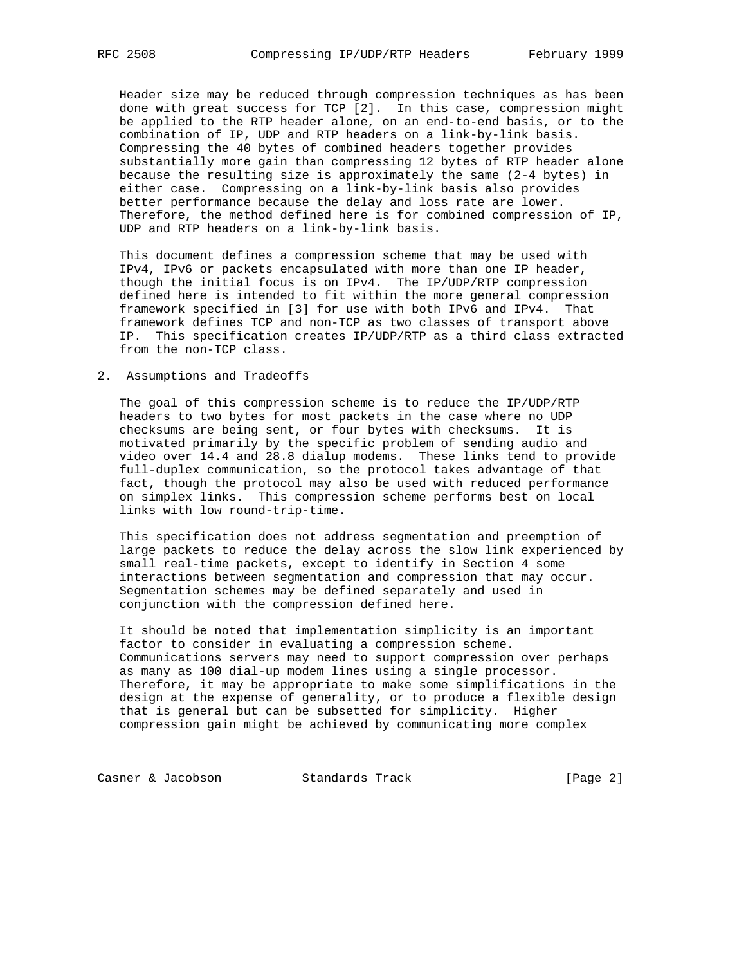Header size may be reduced through compression techniques as has been done with great success for TCP [2]. In this case, compression might be applied to the RTP header alone, on an end-to-end basis, or to the combination of IP, UDP and RTP headers on a link-by-link basis. Compressing the 40 bytes of combined headers together provides substantially more gain than compressing 12 bytes of RTP header alone because the resulting size is approximately the same (2-4 bytes) in either case. Compressing on a link-by-link basis also provides better performance because the delay and loss rate are lower. Therefore, the method defined here is for combined compression of IP, UDP and RTP headers on a link-by-link basis.

 This document defines a compression scheme that may be used with IPv4, IPv6 or packets encapsulated with more than one IP header, though the initial focus is on IPv4. The IP/UDP/RTP compression defined here is intended to fit within the more general compression framework specified in [3] for use with both IPv6 and IPv4. That framework defines TCP and non-TCP as two classes of transport above IP. This specification creates IP/UDP/RTP as a third class extracted from the non-TCP class.

#### 2. Assumptions and Tradeoffs

 The goal of this compression scheme is to reduce the IP/UDP/RTP headers to two bytes for most packets in the case where no UDP checksums are being sent, or four bytes with checksums. It is motivated primarily by the specific problem of sending audio and video over 14.4 and 28.8 dialup modems. These links tend to provide full-duplex communication, so the protocol takes advantage of that fact, though the protocol may also be used with reduced performance on simplex links. This compression scheme performs best on local links with low round-trip-time.

 This specification does not address segmentation and preemption of large packets to reduce the delay across the slow link experienced by small real-time packets, except to identify in Section 4 some interactions between segmentation and compression that may occur. Segmentation schemes may be defined separately and used in conjunction with the compression defined here.

 It should be noted that implementation simplicity is an important factor to consider in evaluating a compression scheme. Communications servers may need to support compression over perhaps as many as 100 dial-up modem lines using a single processor. Therefore, it may be appropriate to make some simplifications in the design at the expense of generality, or to produce a flexible design that is general but can be subsetted for simplicity. Higher compression gain might be achieved by communicating more complex

Casner & Jacobson Standards Track [Page 2]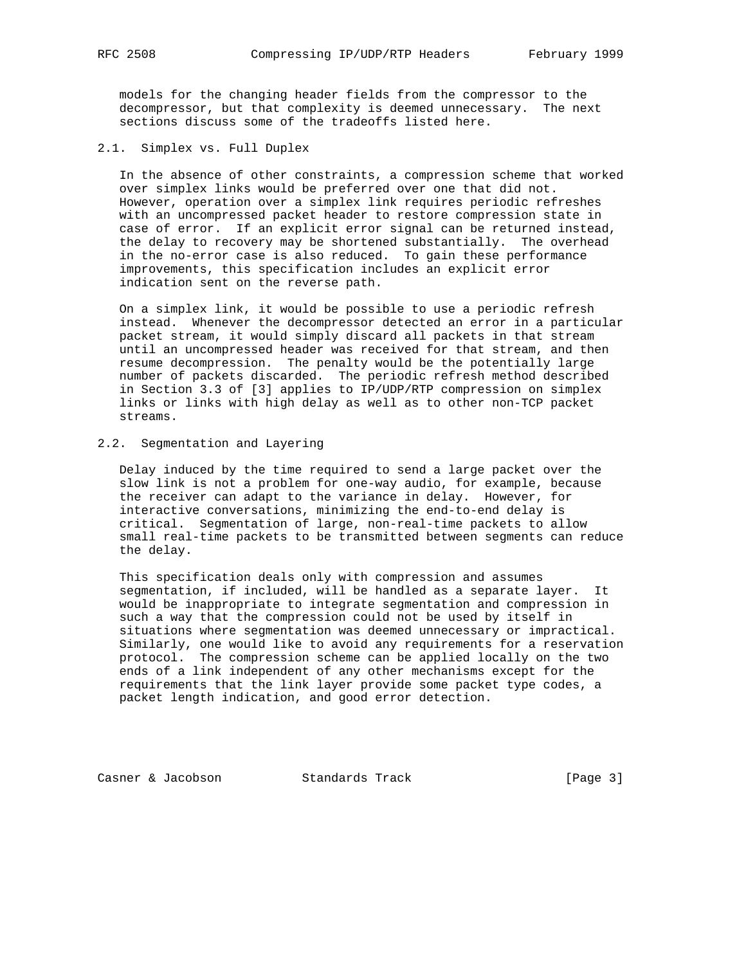models for the changing header fields from the compressor to the decompressor, but that complexity is deemed unnecessary. The next sections discuss some of the tradeoffs listed here.

2.1. Simplex vs. Full Duplex

 In the absence of other constraints, a compression scheme that worked over simplex links would be preferred over one that did not. However, operation over a simplex link requires periodic refreshes with an uncompressed packet header to restore compression state in case of error. If an explicit error signal can be returned instead, the delay to recovery may be shortened substantially. The overhead in the no-error case is also reduced. To gain these performance improvements, this specification includes an explicit error indication sent on the reverse path.

 On a simplex link, it would be possible to use a periodic refresh instead. Whenever the decompressor detected an error in a particular packet stream, it would simply discard all packets in that stream until an uncompressed header was received for that stream, and then resume decompression. The penalty would be the potentially large number of packets discarded. The periodic refresh method described in Section 3.3 of [3] applies to IP/UDP/RTP compression on simplex links or links with high delay as well as to other non-TCP packet streams.

# 2.2. Segmentation and Layering

 Delay induced by the time required to send a large packet over the slow link is not a problem for one-way audio, for example, because the receiver can adapt to the variance in delay. However, for interactive conversations, minimizing the end-to-end delay is critical. Segmentation of large, non-real-time packets to allow small real-time packets to be transmitted between segments can reduce the delay.

 This specification deals only with compression and assumes segmentation, if included, will be handled as a separate layer. It would be inappropriate to integrate segmentation and compression in such a way that the compression could not be used by itself in situations where segmentation was deemed unnecessary or impractical. Similarly, one would like to avoid any requirements for a reservation protocol. The compression scheme can be applied locally on the two ends of a link independent of any other mechanisms except for the requirements that the link layer provide some packet type codes, a packet length indication, and good error detection.

Casner & Jacobson Standards Track [Page 3]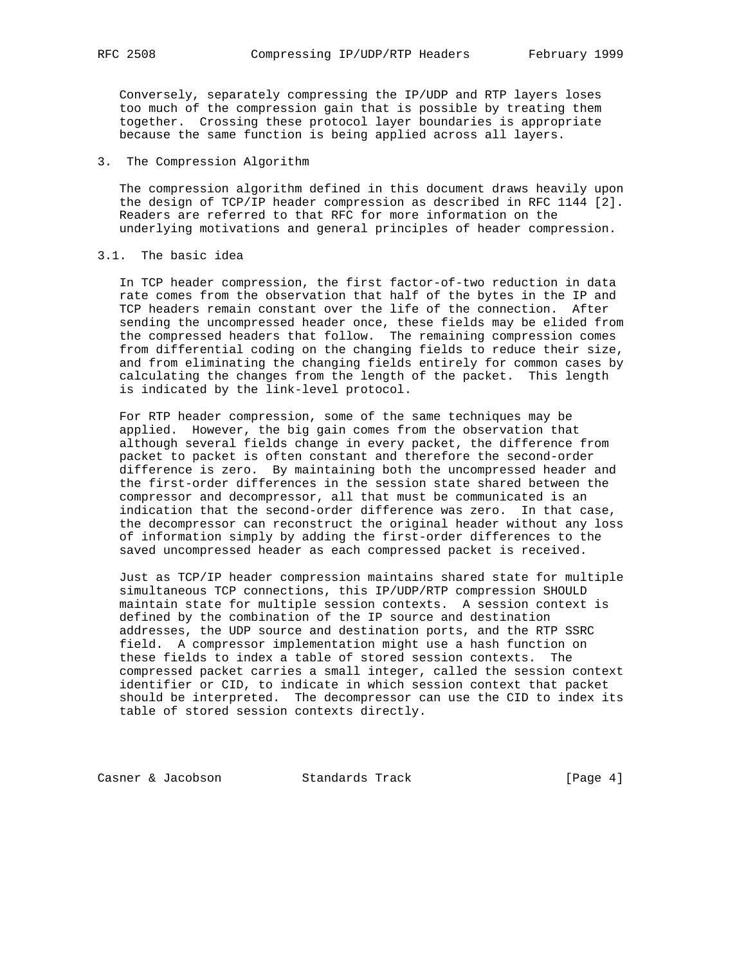Conversely, separately compressing the IP/UDP and RTP layers loses too much of the compression gain that is possible by treating them together. Crossing these protocol layer boundaries is appropriate because the same function is being applied across all layers.

3. The Compression Algorithm

 The compression algorithm defined in this document draws heavily upon the design of TCP/IP header compression as described in RFC 1144 [2]. Readers are referred to that RFC for more information on the underlying motivations and general principles of header compression.

#### 3.1. The basic idea

 In TCP header compression, the first factor-of-two reduction in data rate comes from the observation that half of the bytes in the IP and TCP headers remain constant over the life of the connection. After sending the uncompressed header once, these fields may be elided from the compressed headers that follow. The remaining compression comes from differential coding on the changing fields to reduce their size, and from eliminating the changing fields entirely for common cases by calculating the changes from the length of the packet. This length is indicated by the link-level protocol.

 For RTP header compression, some of the same techniques may be applied. However, the big gain comes from the observation that although several fields change in every packet, the difference from packet to packet is often constant and therefore the second-order difference is zero. By maintaining both the uncompressed header and the first-order differences in the session state shared between the compressor and decompressor, all that must be communicated is an indication that the second-order difference was zero. In that case, the decompressor can reconstruct the original header without any loss of information simply by adding the first-order differences to the saved uncompressed header as each compressed packet is received.

 Just as TCP/IP header compression maintains shared state for multiple simultaneous TCP connections, this IP/UDP/RTP compression SHOULD maintain state for multiple session contexts. A session context is defined by the combination of the IP source and destination addresses, the UDP source and destination ports, and the RTP SSRC field. A compressor implementation might use a hash function on these fields to index a table of stored session contexts. The compressed packet carries a small integer, called the session context identifier or CID, to indicate in which session context that packet should be interpreted. The decompressor can use the CID to index its table of stored session contexts directly.

Casner & Jacobson Standards Track [Page 4]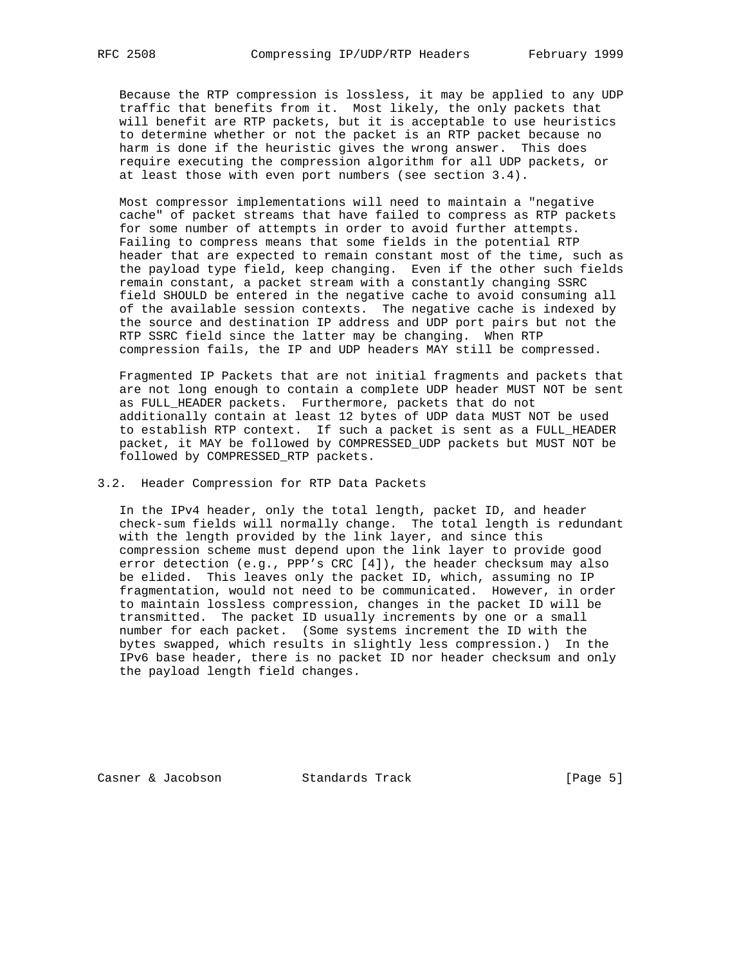Because the RTP compression is lossless, it may be applied to any UDP traffic that benefits from it. Most likely, the only packets that will benefit are RTP packets, but it is acceptable to use heuristics to determine whether or not the packet is an RTP packet because no harm is done if the heuristic gives the wrong answer. This does require executing the compression algorithm for all UDP packets, or at least those with even port numbers (see section 3.4).

 Most compressor implementations will need to maintain a "negative cache" of packet streams that have failed to compress as RTP packets for some number of attempts in order to avoid further attempts. Failing to compress means that some fields in the potential RTP header that are expected to remain constant most of the time, such as the payload type field, keep changing. Even if the other such fields remain constant, a packet stream with a constantly changing SSRC field SHOULD be entered in the negative cache to avoid consuming all of the available session contexts. The negative cache is indexed by the source and destination IP address and UDP port pairs but not the RTP SSRC field since the latter may be changing. When RTP compression fails, the IP and UDP headers MAY still be compressed.

 Fragmented IP Packets that are not initial fragments and packets that are not long enough to contain a complete UDP header MUST NOT be sent as FULL\_HEADER packets. Furthermore, packets that do not additionally contain at least 12 bytes of UDP data MUST NOT be used to establish RTP context. If such a packet is sent as a FULL\_HEADER packet, it MAY be followed by COMPRESSED\_UDP packets but MUST NOT be followed by COMPRESSED\_RTP packets.

### 3.2. Header Compression for RTP Data Packets

 In the IPv4 header, only the total length, packet ID, and header check-sum fields will normally change. The total length is redundant with the length provided by the link layer, and since this compression scheme must depend upon the link layer to provide good error detection (e.g., PPP's CRC [4]), the header checksum may also be elided. This leaves only the packet ID, which, assuming no IP fragmentation, would not need to be communicated. However, in order to maintain lossless compression, changes in the packet ID will be transmitted. The packet ID usually increments by one or a small number for each packet. (Some systems increment the ID with the bytes swapped, which results in slightly less compression.) In the IPv6 base header, there is no packet ID nor header checksum and only the payload length field changes.

Casner & Jacobson Standards Track [Page 5]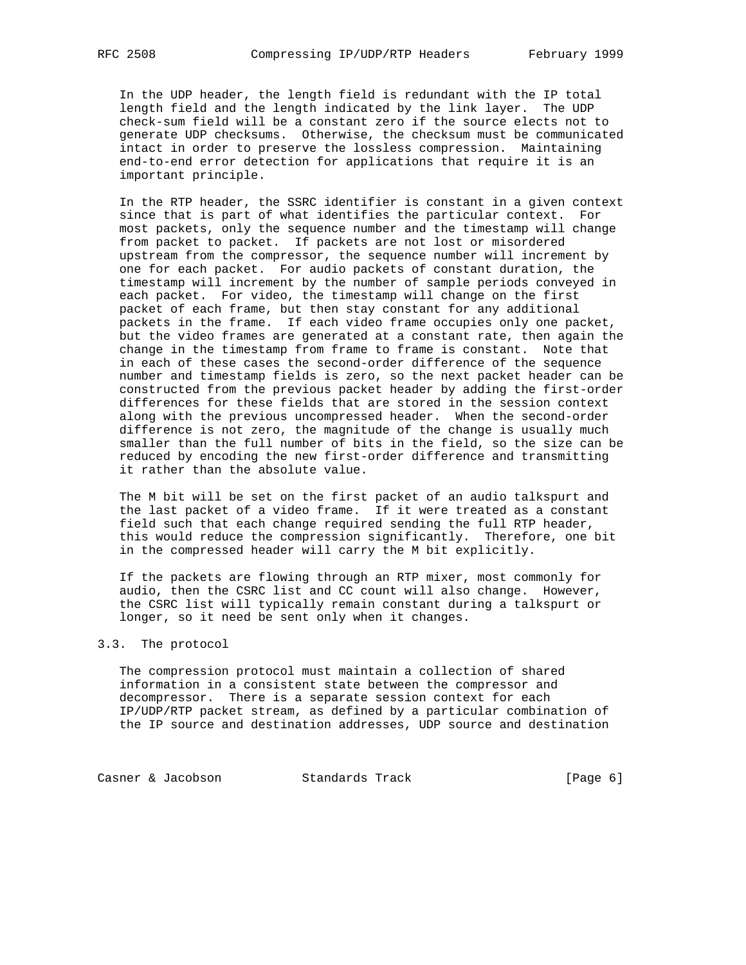In the UDP header, the length field is redundant with the IP total length field and the length indicated by the link layer. The UDP check-sum field will be a constant zero if the source elects not to generate UDP checksums. Otherwise, the checksum must be communicated intact in order to preserve the lossless compression. Maintaining end-to-end error detection for applications that require it is an important principle.

 In the RTP header, the SSRC identifier is constant in a given context since that is part of what identifies the particular context. For most packets, only the sequence number and the timestamp will change from packet to packet. If packets are not lost or misordered upstream from the compressor, the sequence number will increment by one for each packet. For audio packets of constant duration, the timestamp will increment by the number of sample periods conveyed in each packet. For video, the timestamp will change on the first packet of each frame, but then stay constant for any additional packets in the frame. If each video frame occupies only one packet, but the video frames are generated at a constant rate, then again the change in the timestamp from frame to frame is constant. Note that in each of these cases the second-order difference of the sequence number and timestamp fields is zero, so the next packet header can be constructed from the previous packet header by adding the first-order differences for these fields that are stored in the session context along with the previous uncompressed header. When the second-order difference is not zero, the magnitude of the change is usually much smaller than the full number of bits in the field, so the size can be reduced by encoding the new first-order difference and transmitting it rather than the absolute value.

 The M bit will be set on the first packet of an audio talkspurt and the last packet of a video frame. If it were treated as a constant field such that each change required sending the full RTP header, this would reduce the compression significantly. Therefore, one bit in the compressed header will carry the M bit explicitly.

 If the packets are flowing through an RTP mixer, most commonly for audio, then the CSRC list and CC count will also change. However, the CSRC list will typically remain constant during a talkspurt or longer, so it need be sent only when it changes.

#### 3.3. The protocol

 The compression protocol must maintain a collection of shared information in a consistent state between the compressor and decompressor. There is a separate session context for each IP/UDP/RTP packet stream, as defined by a particular combination of the IP source and destination addresses, UDP source and destination

Casner & Jacobson Standards Track (Page 6)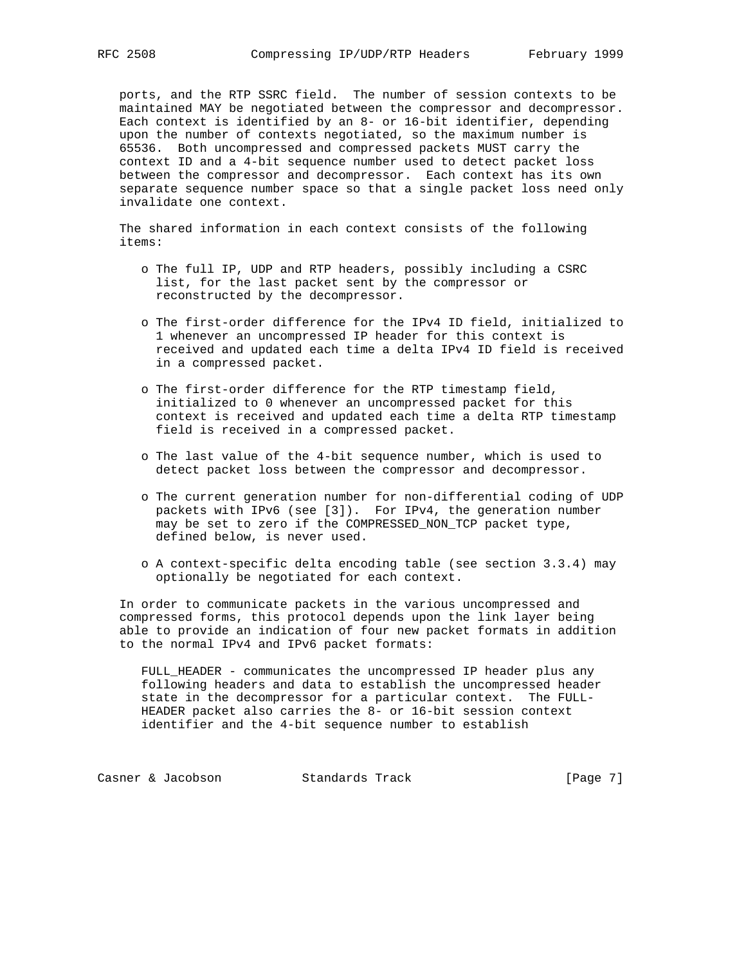ports, and the RTP SSRC field. The number of session contexts to be maintained MAY be negotiated between the compressor and decompressor. Each context is identified by an 8- or 16-bit identifier, depending upon the number of contexts negotiated, so the maximum number is 65536. Both uncompressed and compressed packets MUST carry the context ID and a 4-bit sequence number used to detect packet loss between the compressor and decompressor. Each context has its own separate sequence number space so that a single packet loss need only invalidate one context.

 The shared information in each context consists of the following items:

- o The full IP, UDP and RTP headers, possibly including a CSRC list, for the last packet sent by the compressor or reconstructed by the decompressor.
- o The first-order difference for the IPv4 ID field, initialized to 1 whenever an uncompressed IP header for this context is received and updated each time a delta IPv4 ID field is received in a compressed packet.
- o The first-order difference for the RTP timestamp field, initialized to 0 whenever an uncompressed packet for this context is received and updated each time a delta RTP timestamp field is received in a compressed packet.
- o The last value of the 4-bit sequence number, which is used to detect packet loss between the compressor and decompressor.
- o The current generation number for non-differential coding of UDP packets with IPv6 (see [3]). For IPv4, the generation number may be set to zero if the COMPRESSED\_NON\_TCP packet type, defined below, is never used.
- o A context-specific delta encoding table (see section 3.3.4) may optionally be negotiated for each context.

 In order to communicate packets in the various uncompressed and compressed forms, this protocol depends upon the link layer being able to provide an indication of four new packet formats in addition to the normal IPv4 and IPv6 packet formats:

 FULL\_HEADER - communicates the uncompressed IP header plus any following headers and data to establish the uncompressed header state in the decompressor for a particular context. The FULL- HEADER packet also carries the 8- or 16-bit session context identifier and the 4-bit sequence number to establish

Casner & Jacobson Standards Track [Page 7]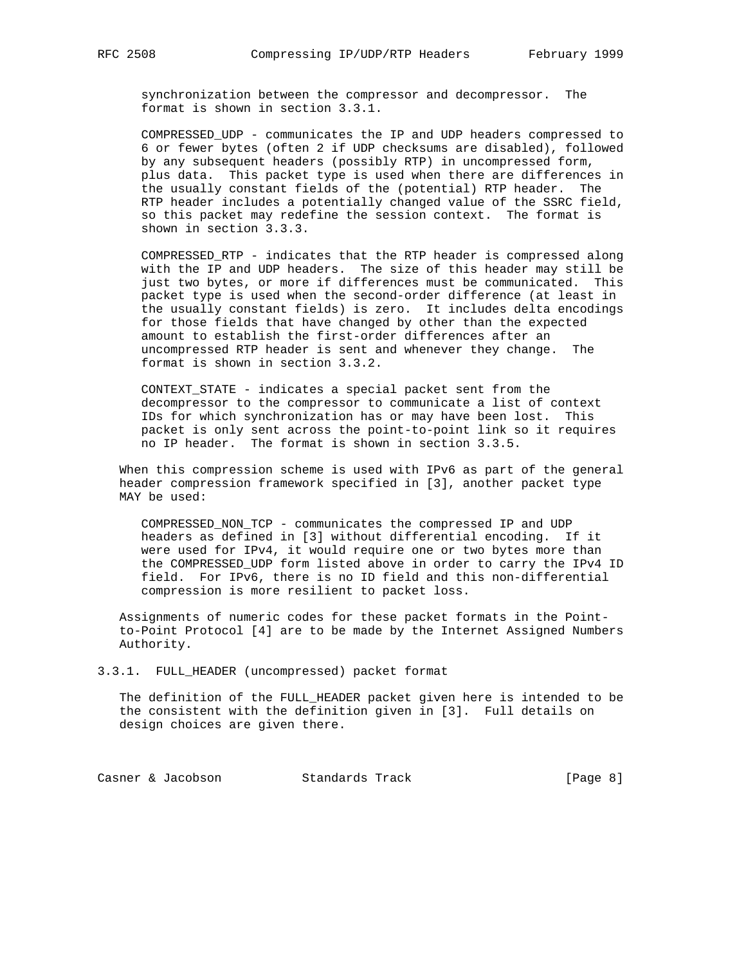synchronization between the compressor and decompressor. The format is shown in section 3.3.1.

 COMPRESSED\_UDP - communicates the IP and UDP headers compressed to 6 or fewer bytes (often 2 if UDP checksums are disabled), followed by any subsequent headers (possibly RTP) in uncompressed form, plus data. This packet type is used when there are differences in the usually constant fields of the (potential) RTP header. The RTP header includes a potentially changed value of the SSRC field, so this packet may redefine the session context. The format is shown in section 3.3.3.

 COMPRESSED\_RTP - indicates that the RTP header is compressed along with the IP and UDP headers. The size of this header may still be just two bytes, or more if differences must be communicated. This packet type is used when the second-order difference (at least in the usually constant fields) is zero. It includes delta encodings for those fields that have changed by other than the expected amount to establish the first-order differences after an uncompressed RTP header is sent and whenever they change. The format is shown in section 3.3.2.

 CONTEXT\_STATE - indicates a special packet sent from the decompressor to the compressor to communicate a list of context IDs for which synchronization has or may have been lost. This packet is only sent across the point-to-point link so it requires no IP header. The format is shown in section 3.3.5.

 When this compression scheme is used with IPv6 as part of the general header compression framework specified in [3], another packet type MAY be used:

 COMPRESSED\_NON\_TCP - communicates the compressed IP and UDP headers as defined in [3] without differential encoding. If it were used for IPv4, it would require one or two bytes more than the COMPRESSED\_UDP form listed above in order to carry the IPv4 ID field. For IPv6, there is no ID field and this non-differential compression is more resilient to packet loss.

 Assignments of numeric codes for these packet formats in the Point to-Point Protocol [4] are to be made by the Internet Assigned Numbers Authority.

3.3.1. FULL\_HEADER (uncompressed) packet format

 The definition of the FULL\_HEADER packet given here is intended to be the consistent with the definition given in [3]. Full details on design choices are given there.

Casner & Jacobson Standards Track [Page 8]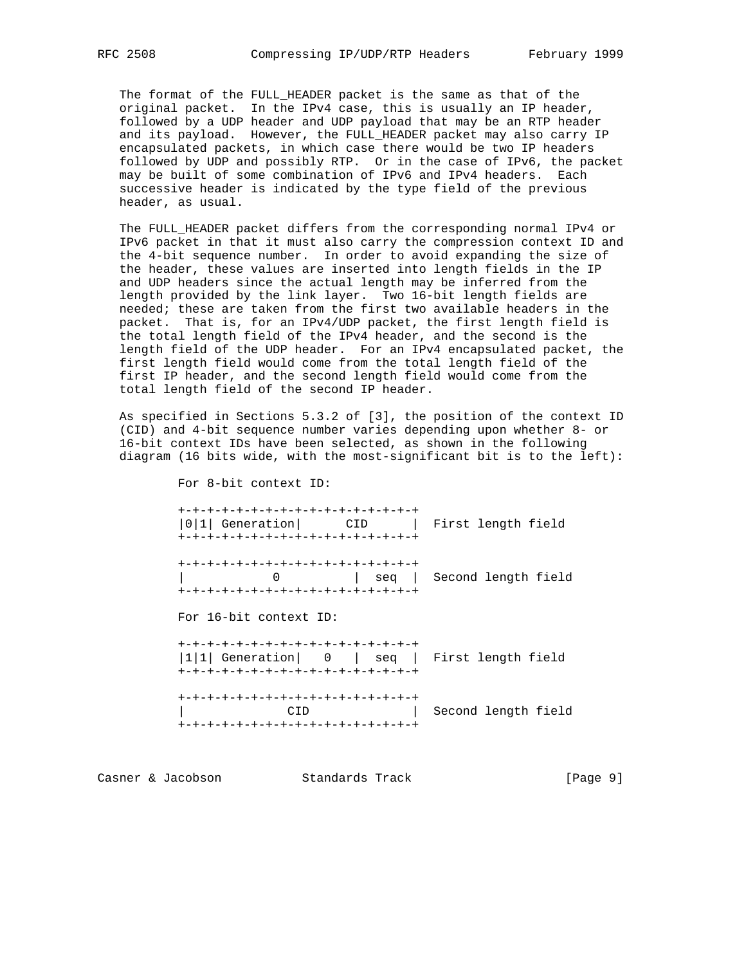The format of the FULL\_HEADER packet is the same as that of the original packet. In the IPv4 case, this is usually an IP header, followed by a UDP header and UDP payload that may be an RTP header and its payload. However, the FULL\_HEADER packet may also carry IP encapsulated packets, in which case there would be two IP headers followed by UDP and possibly RTP. Or in the case of IPv6, the packet may be built of some combination of IPv6 and IPv4 headers. Each successive header is indicated by the type field of the previous header, as usual.

 The FULL\_HEADER packet differs from the corresponding normal IPv4 or IPv6 packet in that it must also carry the compression context ID and the 4-bit sequence number. In order to avoid expanding the size of the header, these values are inserted into length fields in the IP and UDP headers since the actual length may be inferred from the length provided by the link layer. Two 16-bit length fields are needed; these are taken from the first two available headers in the packet. That is, for an IPv4/UDP packet, the first length field is the total length field of the IPv4 header, and the second is the length field of the UDP header. For an IPv4 encapsulated packet, the first length field would come from the total length field of the first IP header, and the second length field would come from the total length field of the second IP header.

 As specified in Sections 5.3.2 of [3], the position of the context ID (CID) and 4-bit sequence number varies depending upon whether 8- or 16-bit context IDs have been selected, as shown in the following diagram (16 bits wide, with the most-significant bit is to the left):

> +-+-+-+-+-+-+-+-+-+-+-+-+-+-+-+-+ |0|1| Generation| CID | First length field +-+-+-+-+-+-+-+-+-+-+-+-+-+-+-+-+ +-+-+-+-+-+-+-+-+-+-+-+-+-+-+-+-+ | 0 | seq | Second length field +-+-+-+-+-+-+-+-+-+-+-+-+-+-+-+-+ For 16-bit context ID: +-+-+-+-+-+-+-+-+-+-+-+-+-+-+-+-+ |1|1| Generation| 0 | seq | First length field +-+-+-+-+-+-+-+-+-+-+-+-+-+-+-+-+ +-+-+-+-+-+-+-+-+-+-+-+-+-+-+-+-+ | CID | Second length field +-+-+-+-+-+-+-+-+-+-+-+-+-+-+-+-+

Casner & Jacobson Standards Track [Page 9]

For 8-bit context ID: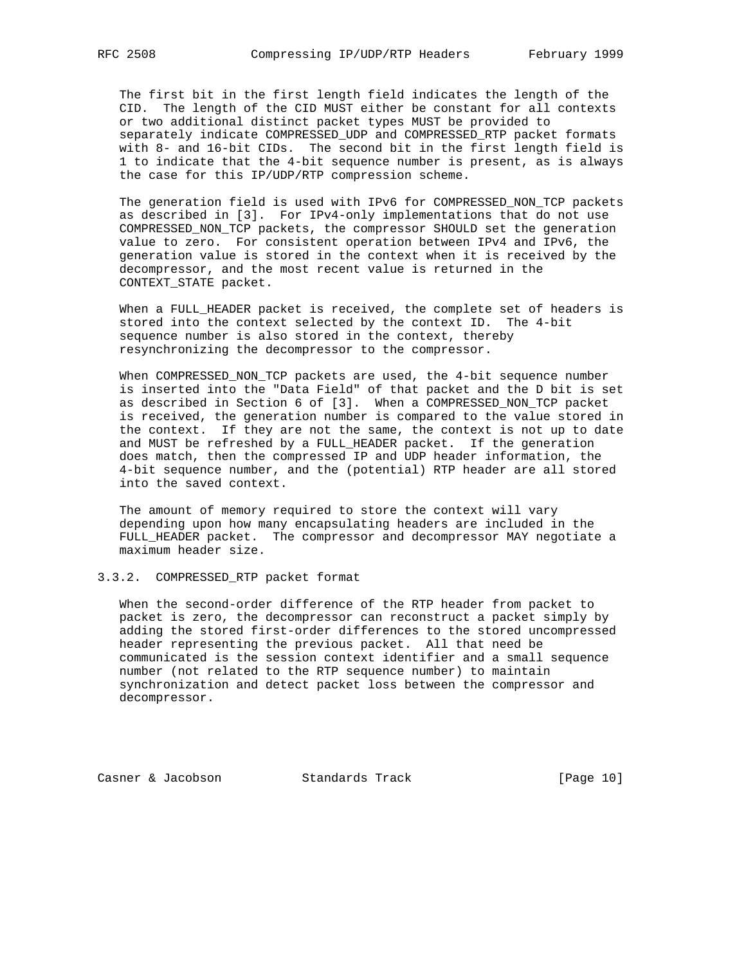The first bit in the first length field indicates the length of the CID. The length of the CID MUST either be constant for all contexts or two additional distinct packet types MUST be provided to separately indicate COMPRESSED\_UDP and COMPRESSED\_RTP packet formats with 8- and 16-bit CIDs. The second bit in the first length field is 1 to indicate that the 4-bit sequence number is present, as is always the case for this IP/UDP/RTP compression scheme.

 The generation field is used with IPv6 for COMPRESSED\_NON\_TCP packets as described in [3]. For IPv4-only implementations that do not use COMPRESSED\_NON\_TCP packets, the compressor SHOULD set the generation value to zero. For consistent operation between IPv4 and IPv6, the generation value is stored in the context when it is received by the decompressor, and the most recent value is returned in the CONTEXT\_STATE packet.

 When a FULL\_HEADER packet is received, the complete set of headers is stored into the context selected by the context ID. The 4-bit sequence number is also stored in the context, thereby resynchronizing the decompressor to the compressor.

 When COMPRESSED\_NON\_TCP packets are used, the 4-bit sequence number is inserted into the "Data Field" of that packet and the D bit is set as described in Section 6 of [3]. When a COMPRESSED\_NON\_TCP packet is received, the generation number is compared to the value stored in the context. If they are not the same, the context is not up to date and MUST be refreshed by a FULL\_HEADER packet. If the generation does match, then the compressed IP and UDP header information, the 4-bit sequence number, and the (potential) RTP header are all stored into the saved context.

 The amount of memory required to store the context will vary depending upon how many encapsulating headers are included in the FULL\_HEADER packet. The compressor and decompressor MAY negotiate a maximum header size.

#### 3.3.2. COMPRESSED\_RTP packet format

 When the second-order difference of the RTP header from packet to packet is zero, the decompressor can reconstruct a packet simply by adding the stored first-order differences to the stored uncompressed header representing the previous packet. All that need be communicated is the session context identifier and a small sequence number (not related to the RTP sequence number) to maintain synchronization and detect packet loss between the compressor and decompressor.

Casner & Jacobson Standards Track [Page 10]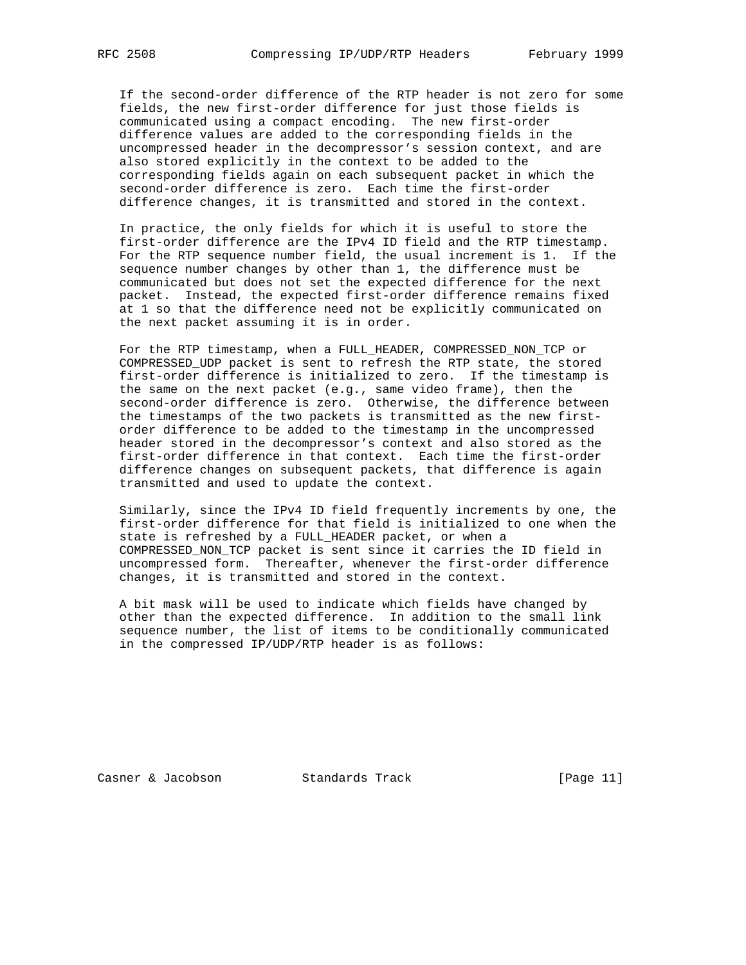If the second-order difference of the RTP header is not zero for some fields, the new first-order difference for just those fields is communicated using a compact encoding. The new first-order difference values are added to the corresponding fields in the uncompressed header in the decompressor's session context, and are also stored explicitly in the context to be added to the corresponding fields again on each subsequent packet in which the second-order difference is zero. Each time the first-order difference changes, it is transmitted and stored in the context.

 In practice, the only fields for which it is useful to store the first-order difference are the IPv4 ID field and the RTP timestamp. For the RTP sequence number field, the usual increment is 1. If the sequence number changes by other than 1, the difference must be communicated but does not set the expected difference for the next packet. Instead, the expected first-order difference remains fixed at 1 so that the difference need not be explicitly communicated on the next packet assuming it is in order.

 For the RTP timestamp, when a FULL\_HEADER, COMPRESSED\_NON\_TCP or COMPRESSED\_UDP packet is sent to refresh the RTP state, the stored first-order difference is initialized to zero. If the timestamp is the same on the next packet (e.g., same video frame), then the second-order difference is zero. Otherwise, the difference between the timestamps of the two packets is transmitted as the new first order difference to be added to the timestamp in the uncompressed header stored in the decompressor's context and also stored as the first-order difference in that context. Each time the first-order difference changes on subsequent packets, that difference is again transmitted and used to update the context.

 Similarly, since the IPv4 ID field frequently increments by one, the first-order difference for that field is initialized to one when the state is refreshed by a FULL HEADER packet, or when a COMPRESSED\_NON\_TCP packet is sent since it carries the ID field in uncompressed form. Thereafter, whenever the first-order difference changes, it is transmitted and stored in the context.

 A bit mask will be used to indicate which fields have changed by other than the expected difference. In addition to the small link sequence number, the list of items to be conditionally communicated in the compressed IP/UDP/RTP header is as follows:

Casner & Jacobson Standards Track [Page 11]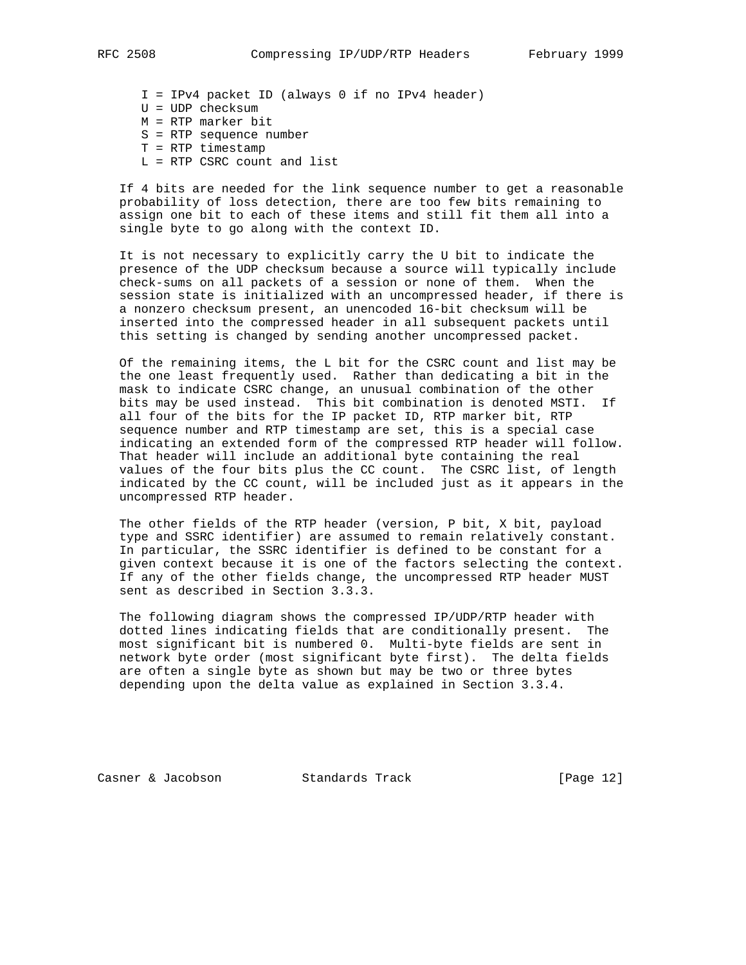- I = IPv4 packet ID (always 0 if no IPv4 header)
- U = UDP checksum
- M = RTP marker bit
- S = RTP sequence number
- T = RTP timestamp
- L = RTP CSRC count and list

 If 4 bits are needed for the link sequence number to get a reasonable probability of loss detection, there are too few bits remaining to assign one bit to each of these items and still fit them all into a single byte to go along with the context ID.

 It is not necessary to explicitly carry the U bit to indicate the presence of the UDP checksum because a source will typically include check-sums on all packets of a session or none of them. When the session state is initialized with an uncompressed header, if there is a nonzero checksum present, an unencoded 16-bit checksum will be inserted into the compressed header in all subsequent packets until this setting is changed by sending another uncompressed packet.

 Of the remaining items, the L bit for the CSRC count and list may be the one least frequently used. Rather than dedicating a bit in the mask to indicate CSRC change, an unusual combination of the other bits may be used instead. This bit combination is denoted MSTI. If all four of the bits for the IP packet ID, RTP marker bit, RTP sequence number and RTP timestamp are set, this is a special case indicating an extended form of the compressed RTP header will follow. That header will include an additional byte containing the real values of the four bits plus the CC count. The CSRC list, of length indicated by the CC count, will be included just as it appears in the uncompressed RTP header.

 The other fields of the RTP header (version, P bit, X bit, payload type and SSRC identifier) are assumed to remain relatively constant. In particular, the SSRC identifier is defined to be constant for a given context because it is one of the factors selecting the context. If any of the other fields change, the uncompressed RTP header MUST sent as described in Section 3.3.3.

 The following diagram shows the compressed IP/UDP/RTP header with dotted lines indicating fields that are conditionally present. The most significant bit is numbered 0. Multi-byte fields are sent in network byte order (most significant byte first). The delta fields are often a single byte as shown but may be two or three bytes depending upon the delta value as explained in Section 3.3.4.

Casner & Jacobson Standards Track [Page 12]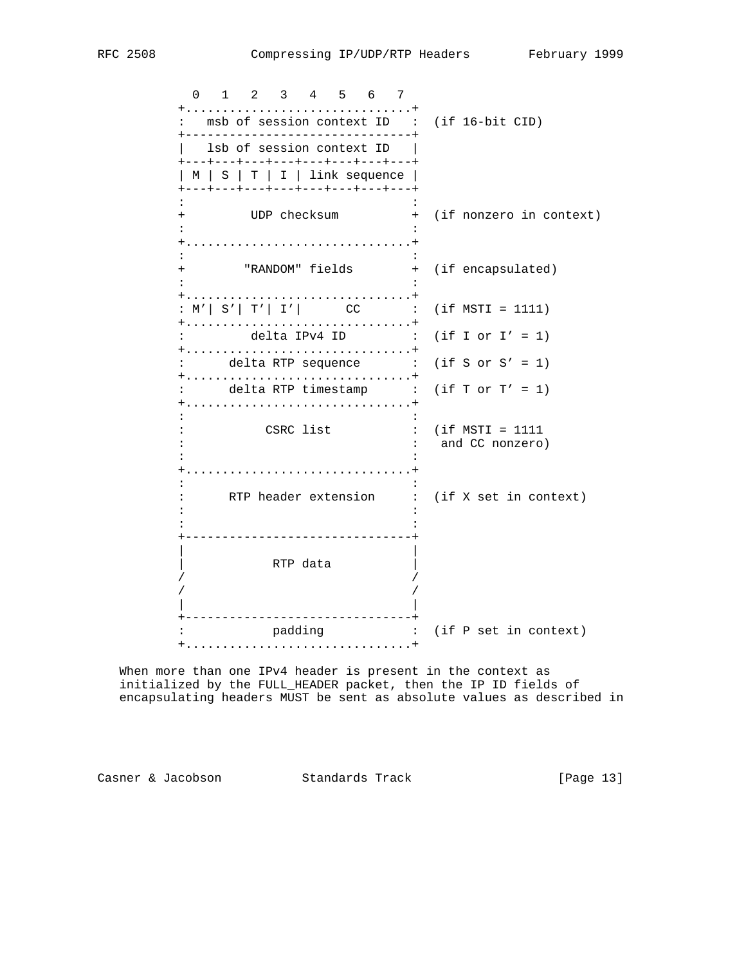0 1 2 3 4 5 6 7 +...............................+ : msb of session context ID : (if 16-bit CID) +-------------------------------+ | lsb of session context ID | +---+---+---+---+---+---+---+---+ | M | S | T | I | link sequence | +---+---+---+---+---+---+---+---+ the second control of the second control of the second control of the second control of the second control of + UDP checksum + (if nonzero in context) the second control of the second control of the second control of the second control of the second control of +...............................+ the second control of the second control of the second control of the second control of the second control of + "RANDOM" fields + (if encapsulated) the second control of the second control of the second control of the second control of the second control of +...............................+ :  $M'$ |  $S'$ |  $T'$ |  $I'$ |  $CC$  : (if  $MSTI = 1111$ ) +...............................+ : delta IPv4 ID : (if I or I' = 1) +...............................+ : delta RTP sequence : (if S or S' = 1) +...............................+ : delta RTP timestamp : (if T or T' = 1) +...............................+ the second control of the second control of the second control of the second control of the second control of : CSRC list : (if MSTI = 1111 : : and CC nonzero) the second control of the second control of the second control of the second control of the second control of +...............................+ the second control of the second control of the second control of the second control of the second control of : RTP header extension : (if X set in context) the second control of the second control of the second control of the second control of the second control of the second control of the second control of the second control of the second control of the second control of +-------------------------------+ | | | RTP data |  $\frac{1}{4}$  / / | | +-------------------------------+ : padding : (if P set in context) +...............................+

 When more than one IPv4 header is present in the context as initialized by the FULL\_HEADER packet, then the IP ID fields of encapsulating headers MUST be sent as absolute values as described in

Casner & Jacobson Standards Track [Page 13]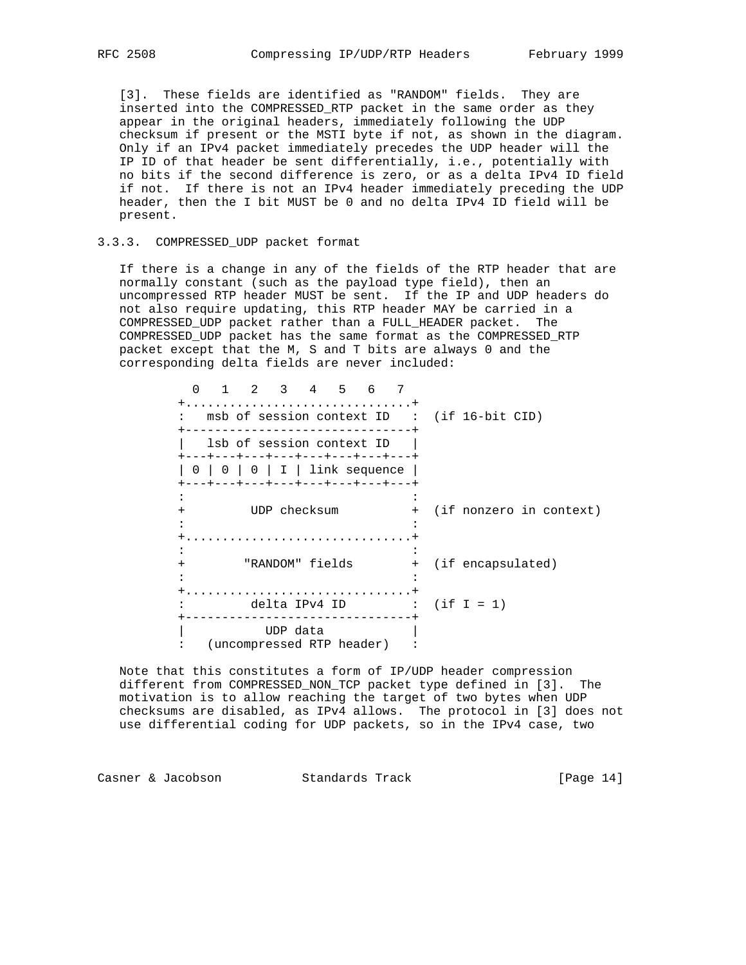[3]. These fields are identified as "RANDOM" fields. They are inserted into the COMPRESSED\_RTP packet in the same order as they appear in the original headers, immediately following the UDP checksum if present or the MSTI byte if not, as shown in the diagram. Only if an IPv4 packet immediately precedes the UDP header will the IP ID of that header be sent differentially, i.e., potentially with no bits if the second difference is zero, or as a delta IPv4 ID field if not. If there is not an IPv4 header immediately preceding the UDP header, then the I bit MUST be 0 and no delta IPv4 ID field will be present.

# 3.3.3. COMPRESSED\_UDP packet format

 If there is a change in any of the fields of the RTP header that are normally constant (such as the payload type field), then an uncompressed RTP header MUST be sent. If the IP and UDP headers do not also require updating, this RTP header MAY be carried in a COMPRESSED\_UDP packet rather than a FULL\_HEADER packet. The COMPRESSED\_UDP packet has the same format as the COMPRESSED\_RTP packet except that the M, S and T bits are always 0 and the corresponding delta fields are never included:

|     | 2 3 4 5 6<br><sup>n</sup><br>: msb of session context ID : (if 16-bit CID)                                                                         |  |                           |
|-----|----------------------------------------------------------------------------------------------------------------------------------------------------|--|---------------------------|
|     | lsb of session context ID<br>+---+---+---+---+---+---+---+---+<br>$0 \mid 0 \mid 0 \mid I \mid$ link sequence<br>+---+---+---+---+---+---+---+---+ |  |                           |
| $+$ | UDP checksum                                                                                                                                       |  | + (if nonzero in context) |
| $+$ | "RANDOM" fields                                                                                                                                    |  | + (if encapsulated)       |
|     | delta IPv4 ID : $($ if I = 1 $)$                                                                                                                   |  |                           |
|     | UDP data<br>(uncompressed RTP header)                                                                                                              |  |                           |

 Note that this constitutes a form of IP/UDP header compression different from COMPRESSED\_NON\_TCP packet type defined in [3]. The motivation is to allow reaching the target of two bytes when UDP checksums are disabled, as IPv4 allows. The protocol in [3] does not use differential coding for UDP packets, so in the IPv4 case, two

Casner & Jacobson Standards Track [Page 14]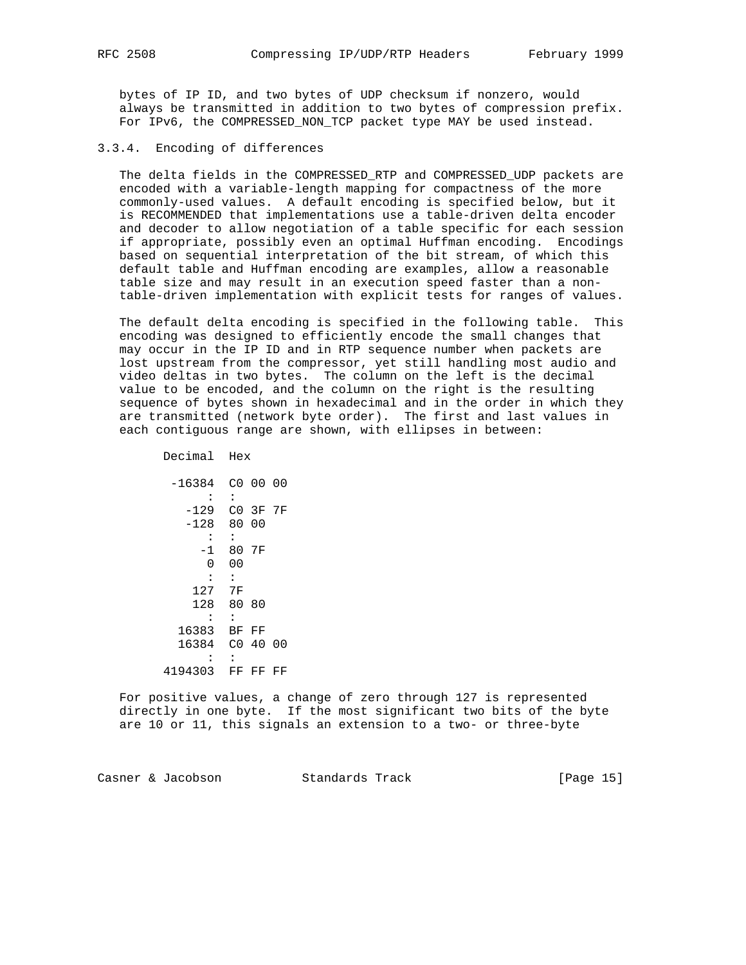bytes of IP ID, and two bytes of UDP checksum if nonzero, would always be transmitted in addition to two bytes of compression prefix. For IPv6, the COMPRESSED\_NON\_TCP packet type MAY be used instead.

## 3.3.4. Encoding of differences

 The delta fields in the COMPRESSED\_RTP and COMPRESSED\_UDP packets are encoded with a variable-length mapping for compactness of the more commonly-used values. A default encoding is specified below, but it is RECOMMENDED that implementations use a table-driven delta encoder and decoder to allow negotiation of a table specific for each session if appropriate, possibly even an optimal Huffman encoding. Encodings based on sequential interpretation of the bit stream, of which this default table and Huffman encoding are examples, allow a reasonable table size and may result in an execution speed faster than a non table-driven implementation with explicit tests for ranges of values.

 The default delta encoding is specified in the following table. This encoding was designed to efficiently encode the small changes that may occur in the IP ID and in RTP sequence number when packets are lost upstream from the compressor, yet still handling most audio and video deltas in two bytes. The column on the left is the decimal value to be encoded, and the column on the right is the resulting sequence of bytes shown in hexadecimal and in the order in which they are transmitted (network byte order). The first and last values in each contiguous range are shown, with ellipses in between:

Decimal Hex

 -16384 C0 00 00 : : -129 C0 3F 7F -128 80 00 : : -1 80 7F 0 00  $\cdot$  :  $\cdot$  : 127 7F 128 80 80 : : 16383 BF FF 16384 C0 40 00 : : 4194303 FF FF FF

 For positive values, a change of zero through 127 is represented directly in one byte. If the most significant two bits of the byte are 10 or 11, this signals an extension to a two- or three-byte

Casner & Jacobson Standards Track [Page 15]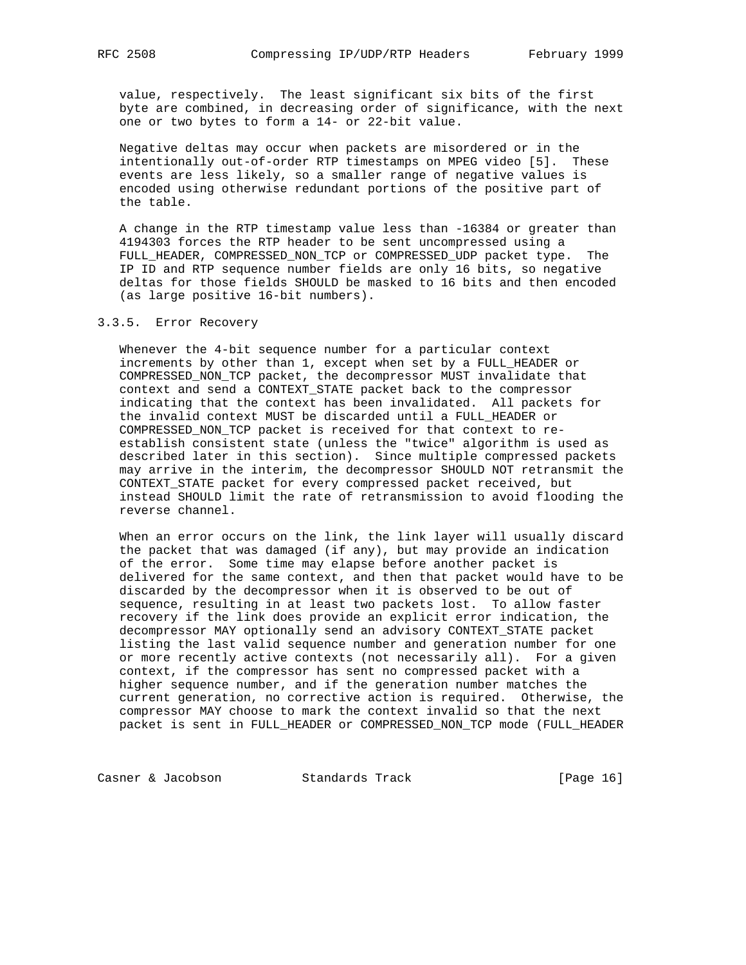value, respectively. The least significant six bits of the first byte are combined, in decreasing order of significance, with the next one or two bytes to form a 14- or 22-bit value.

 Negative deltas may occur when packets are misordered or in the intentionally out-of-order RTP timestamps on MPEG video [5]. These events are less likely, so a smaller range of negative values is encoded using otherwise redundant portions of the positive part of the table.

 A change in the RTP timestamp value less than -16384 or greater than 4194303 forces the RTP header to be sent uncompressed using a FULL\_HEADER, COMPRESSED\_NON\_TCP or COMPRESSED\_UDP packet type. The IP ID and RTP sequence number fields are only 16 bits, so negative deltas for those fields SHOULD be masked to 16 bits and then encoded (as large positive 16-bit numbers).

## 3.3.5. Error Recovery

 Whenever the 4-bit sequence number for a particular context increments by other than 1, except when set by a FULL\_HEADER or COMPRESSED\_NON\_TCP packet, the decompressor MUST invalidate that context and send a CONTEXT\_STATE packet back to the compressor indicating that the context has been invalidated. All packets for the invalid context MUST be discarded until a FULL\_HEADER or COMPRESSED\_NON\_TCP packet is received for that context to re establish consistent state (unless the "twice" algorithm is used as described later in this section). Since multiple compressed packets may arrive in the interim, the decompressor SHOULD NOT retransmit the CONTEXT\_STATE packet for every compressed packet received, but instead SHOULD limit the rate of retransmission to avoid flooding the reverse channel.

 When an error occurs on the link, the link layer will usually discard the packet that was damaged (if any), but may provide an indication of the error. Some time may elapse before another packet is delivered for the same context, and then that packet would have to be discarded by the decompressor when it is observed to be out of sequence, resulting in at least two packets lost. To allow faster recovery if the link does provide an explicit error indication, the decompressor MAY optionally send an advisory CONTEXT\_STATE packet listing the last valid sequence number and generation number for one or more recently active contexts (not necessarily all). For a given context, if the compressor has sent no compressed packet with a higher sequence number, and if the generation number matches the current generation, no corrective action is required. Otherwise, the compressor MAY choose to mark the context invalid so that the next packet is sent in FULL\_HEADER or COMPRESSED\_NON\_TCP mode (FULL\_HEADER

Casner & Jacobson Standards Track [Page 16]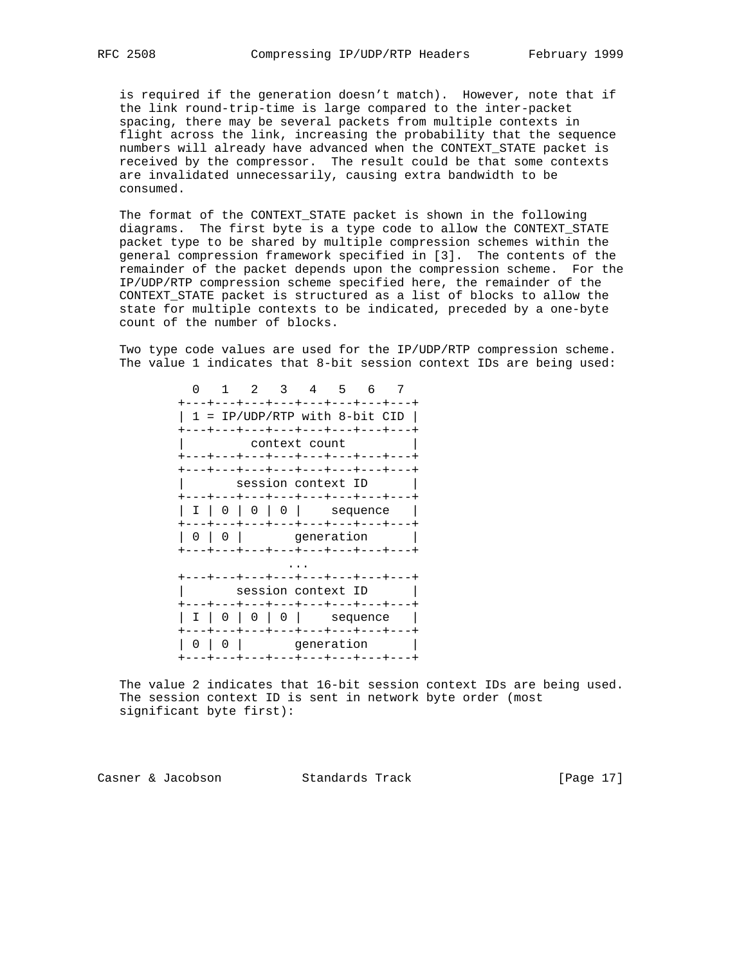is required if the generation doesn't match). However, note that if the link round-trip-time is large compared to the inter-packet spacing, there may be several packets from multiple contexts in flight across the link, increasing the probability that the sequence numbers will already have advanced when the CONTEXT\_STATE packet is received by the compressor. The result could be that some contexts are invalidated unnecessarily, causing extra bandwidth to be consumed.

 The format of the CONTEXT\_STATE packet is shown in the following diagrams. The first byte is a type code to allow the CONTEXT\_STATE packet type to be shared by multiple compression schemes within the general compression framework specified in [3]. The contents of the remainder of the packet depends upon the compression scheme. For the IP/UDP/RTP compression scheme specified here, the remainder of the CONTEXT STATE packet is structured as a list of blocks to allow the state for multiple contexts to be indicated, preceded by a one-byte count of the number of blocks.

 Two type code values are used for the IP/UDP/RTP compression scheme. The value 1 indicates that 8-bit session context IDs are being used:

| O |                                                                                              |   | 2             |  | $3 \quad 4$<br>$-5$<br>+---+---+---+---+---+---+---+--- | - 6      |  | 7 |  |  |  |
|---|----------------------------------------------------------------------------------------------|---|---------------|--|---------------------------------------------------------|----------|--|---|--|--|--|
|   |                                                                                              |   |               |  | 1 = IP/UDP/RTP with 8-bit CID                           |          |  |   |  |  |  |
|   | +---+---+---+---+---+---+---+---<br>context count<br>---+---+---+---+---+---+---+            |   |               |  |                                                         |          |  |   |  |  |  |
|   | +---+---+---+---+---+---+---+---+<br>session context ID<br>+---+---+---+---+---+---+---+---+ |   |               |  |                                                         |          |  |   |  |  |  |
|   |                                                                                              |   | I   0   0   0 |  | +---+---+---+---+---+---+---+---+                       | sequence |  |   |  |  |  |
|   | $\left( \right)$                                                                             |   |               |  | qeneration<br>---+---+---+---+---+---                   |          |  |   |  |  |  |
|   |                                                                                              |   |               |  |                                                         |          |  |   |  |  |  |
|   | ---+---+---+---+---+---+---<br>session context ID<br>+---+---+---+---+---+---+---+---        |   |               |  |                                                         |          |  |   |  |  |  |
|   | I                                                                                            |   | $0 \mid 0$    |  | +---+---+---+---+---+---+                               | sequence |  |   |  |  |  |
|   | 0                                                                                            | 0 |               |  | qeneration<br>+---+---+---+---+---+---+---+---+         |          |  |   |  |  |  |

 The value 2 indicates that 16-bit session context IDs are being used. The session context ID is sent in network byte order (most significant byte first):

Casner & Jacobson Standards Track [Page 17]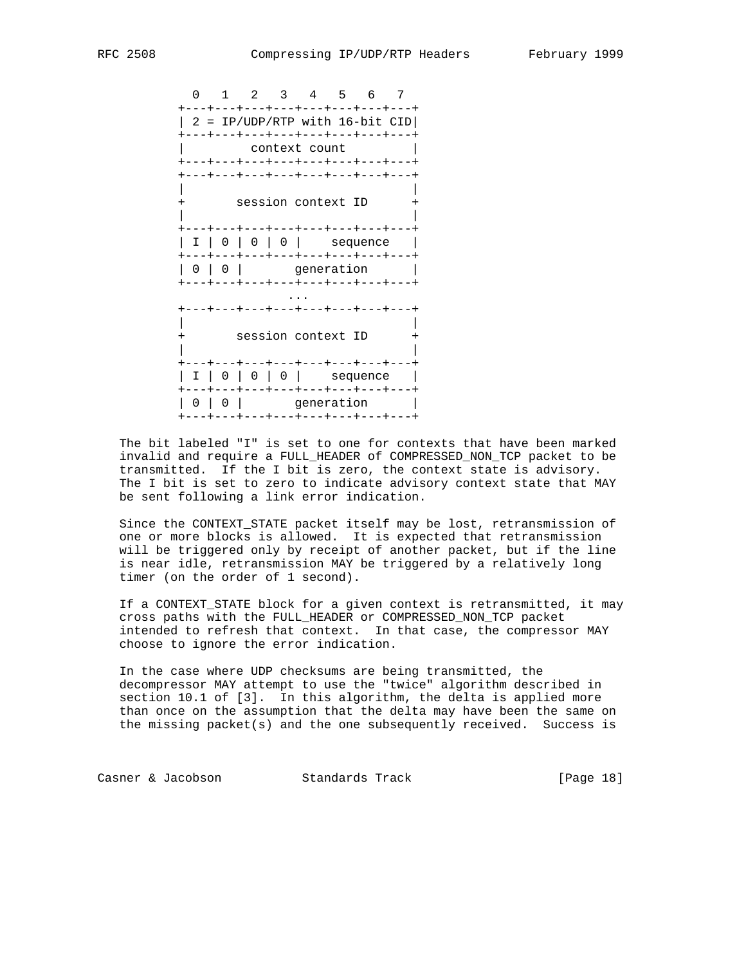0 1 2 3 4 5 6 7 +---+---+---+---+---+---+---+---+  $| 2 = IP/UDP/ RTP$  with 16-bit CID +---+---+---+---+---+---+---+---+ context count +---+---+---+---+---+---+---+---+ +---+---+---+---+---+---+---+---+ | | session context ID | | +---+---+---+---+---+---+---+---+ | I | 0 | 0 | 0 | sequence | +---+---+---+---+---+---+---+---+ | 0 | 0 | generation | +---+---+---+---+---+---+---+---+ ... +---+---+---+---+---+---+---+---+ | | + session context ID + | | +---+---+---+---+---+---+---+---+ | I | 0 | 0 | 0 | sequence | +---+---+---+---+---+---+---+---+ | 0 | 0 | generation | +---+---+---+---+---+---+---+---+

 The bit labeled "I" is set to one for contexts that have been marked invalid and require a FULL\_HEADER of COMPRESSED\_NON\_TCP packet to be transmitted. If the I bit is zero, the context state is advisory. The I bit is set to zero to indicate advisory context state that MAY be sent following a link error indication.

 Since the CONTEXT\_STATE packet itself may be lost, retransmission of one or more blocks is allowed. It is expected that retransmission will be triggered only by receipt of another packet, but if the line is near idle, retransmission MAY be triggered by a relatively long timer (on the order of 1 second).

 If a CONTEXT\_STATE block for a given context is retransmitted, it may cross paths with the FULL\_HEADER or COMPRESSED\_NON\_TCP packet intended to refresh that context. In that case, the compressor MAY choose to ignore the error indication.

 In the case where UDP checksums are being transmitted, the decompressor MAY attempt to use the "twice" algorithm described in section 10.1 of [3]. In this algorithm, the delta is applied more than once on the assumption that the delta may have been the same on the missing packet(s) and the one subsequently received. Success is

Casner & Jacobson Standards Track [Page 18]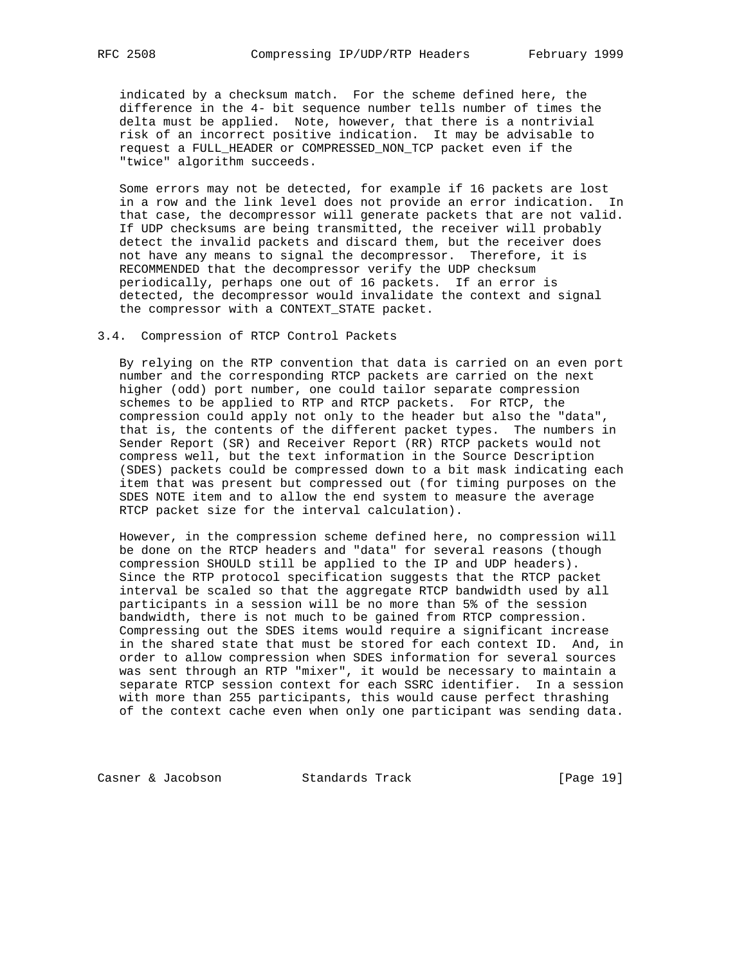indicated by a checksum match. For the scheme defined here, the difference in the 4- bit sequence number tells number of times the delta must be applied. Note, however, that there is a nontrivial risk of an incorrect positive indication. It may be advisable to request a FULL\_HEADER or COMPRESSED\_NON\_TCP packet even if the "twice" algorithm succeeds.

 Some errors may not be detected, for example if 16 packets are lost in a row and the link level does not provide an error indication. In that case, the decompressor will generate packets that are not valid. If UDP checksums are being transmitted, the receiver will probably detect the invalid packets and discard them, but the receiver does not have any means to signal the decompressor. Therefore, it is RECOMMENDED that the decompressor verify the UDP checksum periodically, perhaps one out of 16 packets. If an error is detected, the decompressor would invalidate the context and signal the compressor with a CONTEXT\_STATE packet.

## 3.4. Compression of RTCP Control Packets

 By relying on the RTP convention that data is carried on an even port number and the corresponding RTCP packets are carried on the next higher (odd) port number, one could tailor separate compression schemes to be applied to RTP and RTCP packets. For RTCP, the compression could apply not only to the header but also the "data", that is, the contents of the different packet types. The numbers in Sender Report (SR) and Receiver Report (RR) RTCP packets would not compress well, but the text information in the Source Description (SDES) packets could be compressed down to a bit mask indicating each item that was present but compressed out (for timing purposes on the SDES NOTE item and to allow the end system to measure the average RTCP packet size for the interval calculation).

 However, in the compression scheme defined here, no compression will be done on the RTCP headers and "data" for several reasons (though compression SHOULD still be applied to the IP and UDP headers). Since the RTP protocol specification suggests that the RTCP packet interval be scaled so that the aggregate RTCP bandwidth used by all participants in a session will be no more than 5% of the session bandwidth, there is not much to be gained from RTCP compression. Compressing out the SDES items would require a significant increase in the shared state that must be stored for each context ID. And, in order to allow compression when SDES information for several sources was sent through an RTP "mixer", it would be necessary to maintain a separate RTCP session context for each SSRC identifier. In a session with more than 255 participants, this would cause perfect thrashing of the context cache even when only one participant was sending data.

Casner & Jacobson Standards Track [Page 19]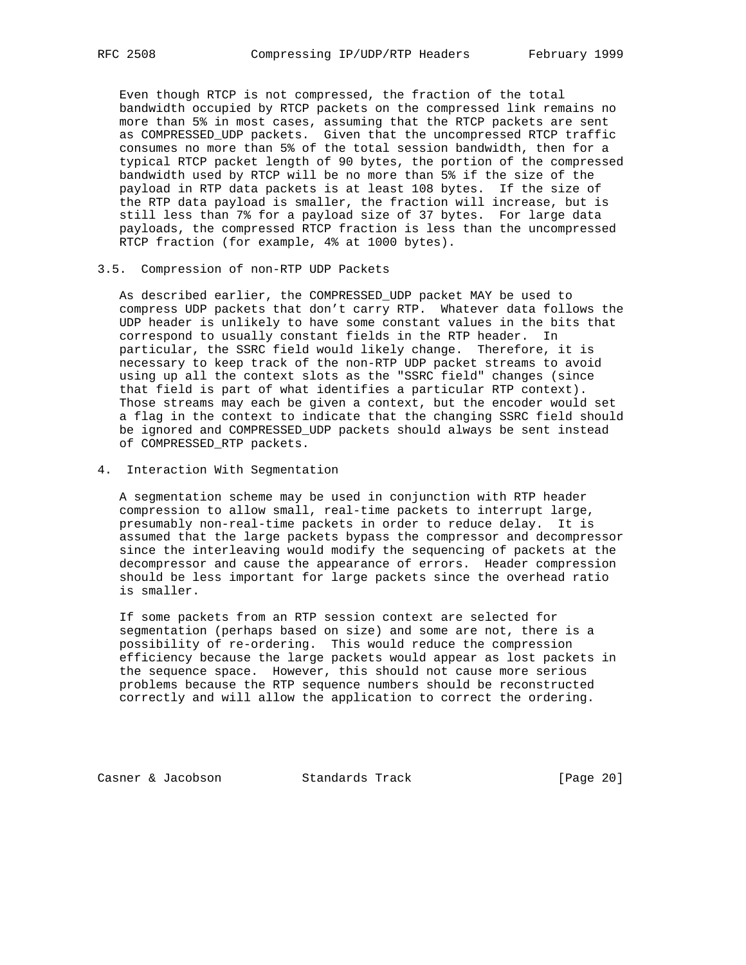Even though RTCP is not compressed, the fraction of the total bandwidth occupied by RTCP packets on the compressed link remains no more than 5% in most cases, assuming that the RTCP packets are sent as COMPRESSED\_UDP packets. Given that the uncompressed RTCP traffic consumes no more than 5% of the total session bandwidth, then for a typical RTCP packet length of 90 bytes, the portion of the compressed bandwidth used by RTCP will be no more than 5% if the size of the payload in RTP data packets is at least 108 bytes. If the size of the RTP data payload is smaller, the fraction will increase, but is still less than 7% for a payload size of 37 bytes. For large data payloads, the compressed RTCP fraction is less than the uncompressed RTCP fraction (for example, 4% at 1000 bytes).

#### 3.5. Compression of non-RTP UDP Packets

 As described earlier, the COMPRESSED\_UDP packet MAY be used to compress UDP packets that don't carry RTP. Whatever data follows the UDP header is unlikely to have some constant values in the bits that correspond to usually constant fields in the RTP header. In particular, the SSRC field would likely change. Therefore, it is necessary to keep track of the non-RTP UDP packet streams to avoid using up all the context slots as the "SSRC field" changes (since that field is part of what identifies a particular RTP context). Those streams may each be given a context, but the encoder would set a flag in the context to indicate that the changing SSRC field should be ignored and COMPRESSED\_UDP packets should always be sent instead of COMPRESSED\_RTP packets.

4. Interaction With Segmentation

 A segmentation scheme may be used in conjunction with RTP header compression to allow small, real-time packets to interrupt large, presumably non-real-time packets in order to reduce delay. It is assumed that the large packets bypass the compressor and decompressor since the interleaving would modify the sequencing of packets at the decompressor and cause the appearance of errors. Header compression should be less important for large packets since the overhead ratio is smaller.

 If some packets from an RTP session context are selected for segmentation (perhaps based on size) and some are not, there is a possibility of re-ordering. This would reduce the compression efficiency because the large packets would appear as lost packets in the sequence space. However, this should not cause more serious problems because the RTP sequence numbers should be reconstructed correctly and will allow the application to correct the ordering.

Casner & Jacobson Standards Track [Page 20]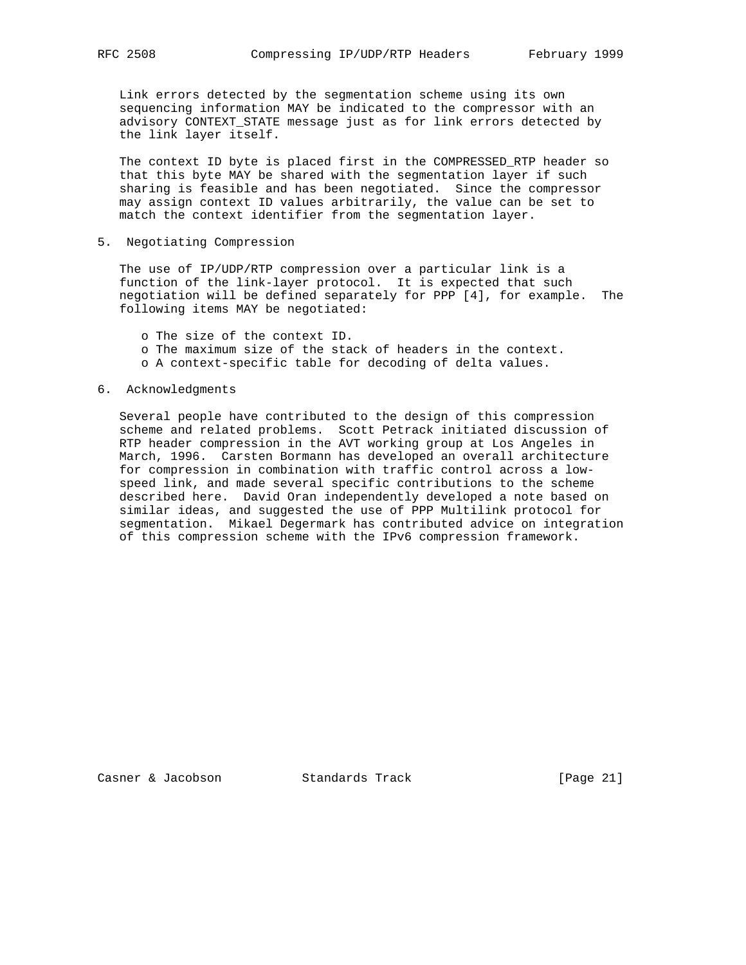Link errors detected by the segmentation scheme using its own sequencing information MAY be indicated to the compressor with an advisory CONTEXT\_STATE message just as for link errors detected by the link layer itself.

 The context ID byte is placed first in the COMPRESSED\_RTP header so that this byte MAY be shared with the segmentation layer if such sharing is feasible and has been negotiated. Since the compressor may assign context ID values arbitrarily, the value can be set to match the context identifier from the segmentation layer.

5. Negotiating Compression

 The use of IP/UDP/RTP compression over a particular link is a function of the link-layer protocol. It is expected that such negotiation will be defined separately for PPP [4], for example. The following items MAY be negotiated:

o The size of the context ID.

- o The maximum size of the stack of headers in the context.
- o A context-specific table for decoding of delta values.

## 6. Acknowledgments

 Several people have contributed to the design of this compression scheme and related problems. Scott Petrack initiated discussion of RTP header compression in the AVT working group at Los Angeles in March, 1996. Carsten Bormann has developed an overall architecture for compression in combination with traffic control across a low speed link, and made several specific contributions to the scheme described here. David Oran independently developed a note based on similar ideas, and suggested the use of PPP Multilink protocol for segmentation. Mikael Degermark has contributed advice on integration of this compression scheme with the IPv6 compression framework.

Casner & Jacobson Standards Track [Page 21]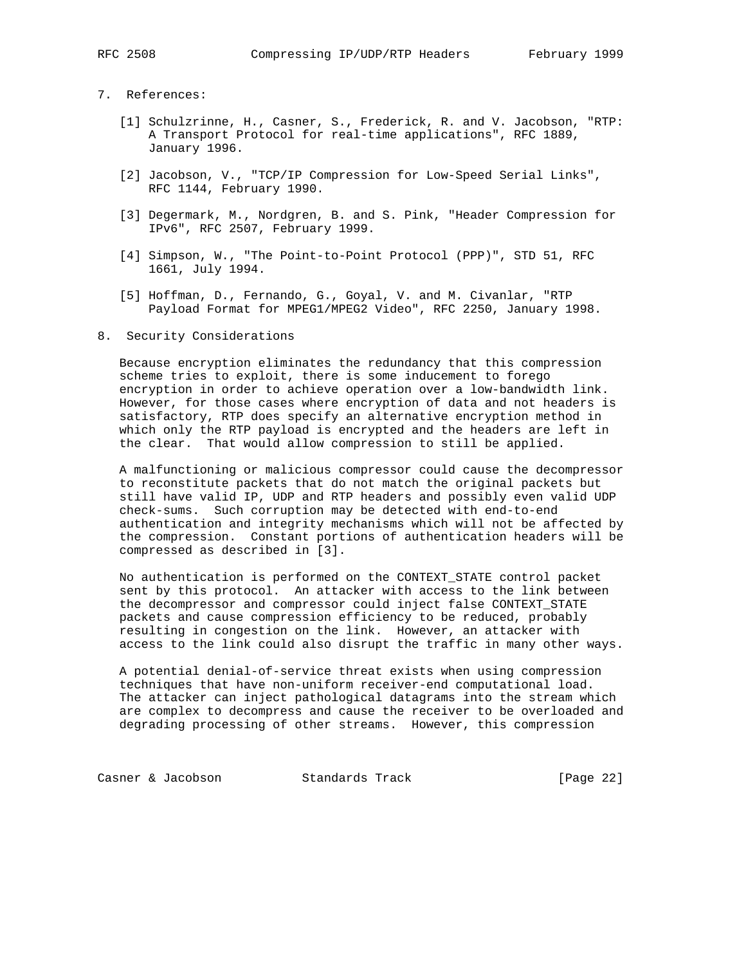# 7. References:

- [1] Schulzrinne, H., Casner, S., Frederick, R. and V. Jacobson, "RTP: A Transport Protocol for real-time applications", RFC 1889, January 1996.
- [2] Jacobson, V., "TCP/IP Compression for Low-Speed Serial Links", RFC 1144, February 1990.
- [3] Degermark, M., Nordgren, B. and S. Pink, "Header Compression for IPv6", RFC 2507, February 1999.
- [4] Simpson, W., "The Point-to-Point Protocol (PPP)", STD 51, RFC 1661, July 1994.
- [5] Hoffman, D., Fernando, G., Goyal, V. and M. Civanlar, "RTP Payload Format for MPEG1/MPEG2 Video", RFC 2250, January 1998.

#### 8. Security Considerations

 Because encryption eliminates the redundancy that this compression scheme tries to exploit, there is some inducement to forego encryption in order to achieve operation over a low-bandwidth link. However, for those cases where encryption of data and not headers is satisfactory, RTP does specify an alternative encryption method in which only the RTP payload is encrypted and the headers are left in the clear. That would allow compression to still be applied.

 A malfunctioning or malicious compressor could cause the decompressor to reconstitute packets that do not match the original packets but still have valid IP, UDP and RTP headers and possibly even valid UDP check-sums. Such corruption may be detected with end-to-end authentication and integrity mechanisms which will not be affected by the compression. Constant portions of authentication headers will be compressed as described in [3].

 No authentication is performed on the CONTEXT\_STATE control packet sent by this protocol. An attacker with access to the link between the decompressor and compressor could inject false CONTEXT\_STATE packets and cause compression efficiency to be reduced, probably resulting in congestion on the link. However, an attacker with access to the link could also disrupt the traffic in many other ways.

 A potential denial-of-service threat exists when using compression techniques that have non-uniform receiver-end computational load. The attacker can inject pathological datagrams into the stream which are complex to decompress and cause the receiver to be overloaded and degrading processing of other streams. However, this compression

Casner & Jacobson Standards Track [Page 22]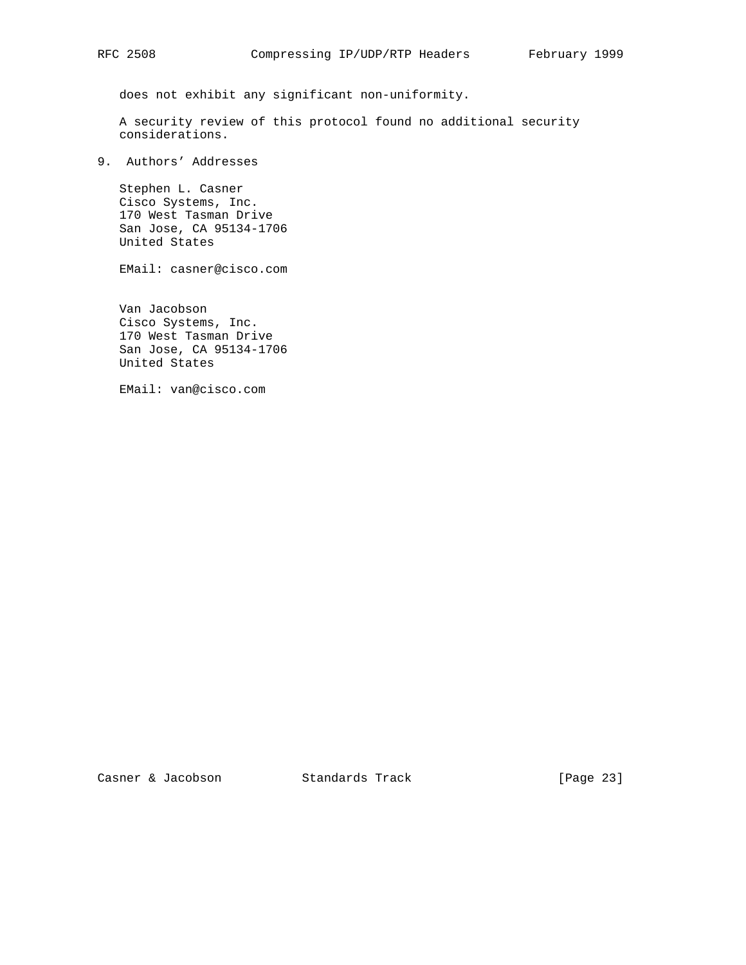does not exhibit any significant non-uniformity.

 A security review of this protocol found no additional security considerations.

9. Authors' Addresses

 Stephen L. Casner Cisco Systems, Inc. 170 West Tasman Drive San Jose, CA 95134-1706 United States

EMail: casner@cisco.com

 Van Jacobson Cisco Systems, Inc. 170 West Tasman Drive San Jose, CA 95134-1706 United States

EMail: van@cisco.com

Casner & Jacobson Standards Track [Page 23]